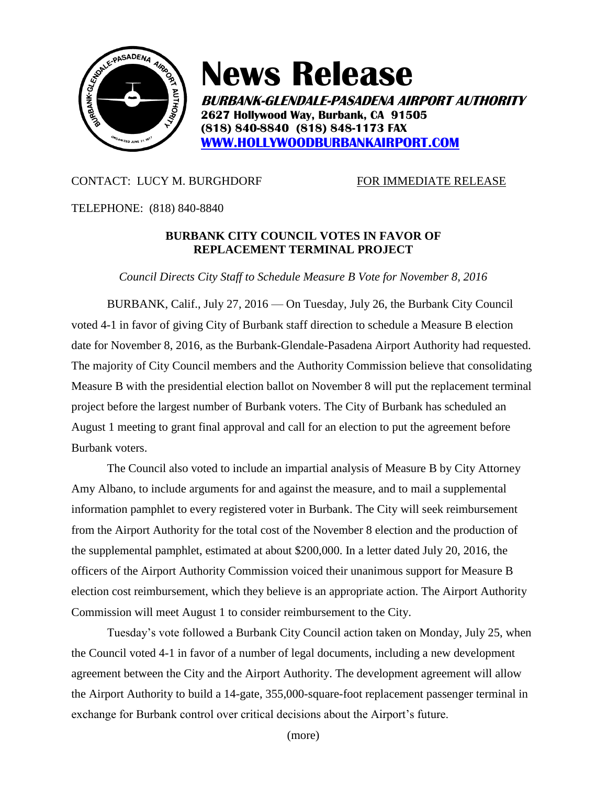

**News Release**

**BURBANK-GLENDALE-PASADENA AIRPORT AUTHORITY 2627 Hollywood Way, Burbank, CA 91505 (818) 840-8840 (818) 848-1173 FAX [WWW.HOLLYWOODBURBANKAIRPORT.COM](http://www.hollywoodburbankairport.com/)**

## CONTACT: LUCY M. BURGHDORF FOR IMMEDIATE RELEASE

TELEPHONE: (818) 840-8840

## **BURBANK CITY COUNCIL VOTES IN FAVOR OF REPLACEMENT TERMINAL PROJECT**

*Council Directs City Staff to Schedule Measure B Vote for November 8, 2016*

BURBANK, Calif., July 27, 2016 — On Tuesday, July 26, the Burbank City Council voted 4-1 in favor of giving City of Burbank staff direction to schedule a Measure B election date for November 8, 2016, as the Burbank-Glendale-Pasadena Airport Authority had requested. The majority of City Council members and the Authority Commission believe that consolidating Measure B with the presidential election ballot on November 8 will put the replacement terminal project before the largest number of Burbank voters. The City of Burbank has scheduled an August 1 meeting to grant final approval and call for an election to put the agreement before Burbank voters.

The Council also voted to include an impartial analysis of Measure B by City Attorney Amy Albano, to include arguments for and against the measure, and to mail a supplemental information pamphlet to every registered voter in Burbank. The City will seek reimbursement from the Airport Authority for the total cost of the November 8 election and the production of the supplemental pamphlet, estimated at about \$200,000. In a letter dated July 20, 2016, the officers of the Airport Authority Commission voiced their unanimous support for Measure B election cost reimbursement, which they believe is an appropriate action. The Airport Authority Commission will meet August 1 to consider reimbursement to the City.

Tuesday's vote followed a Burbank City Council action taken on Monday, July 25, when the Council voted 4-1 in favor of a number of legal documents, including a new development agreement between the City and the Airport Authority. The development agreement will allow the Airport Authority to build a 14-gate, 355,000-square-foot replacement passenger terminal in exchange for Burbank control over critical decisions about the Airport's future.

(more)